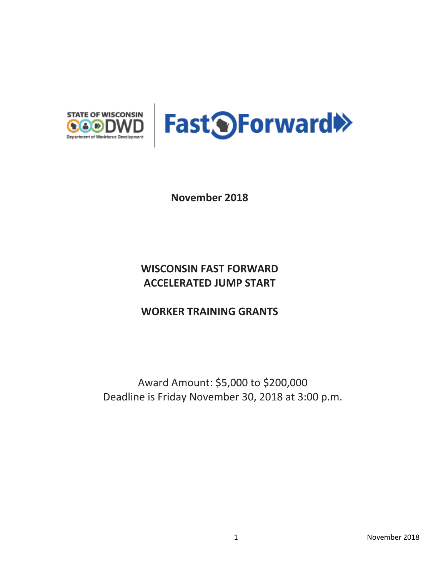



**November 2018**

# **WISCONSIN FAST FORWARD ACCELERATED JUMP START**

## **WORKER TRAINING GRANTS**

Award Amount: \$5,000 to \$200,000 Deadline is Friday November 30, 2018 at 3:00 p.m.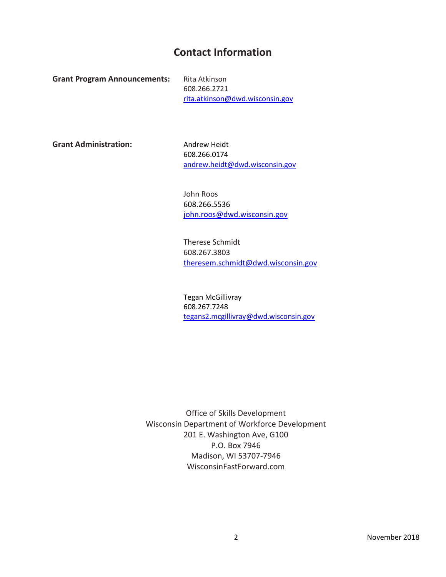## **Contact Information**

**Grant Program Announcements:** Rita Atkinson

608.266.2721 [rita.atkinson@dwd.wisconsin.gov](file:///C:/Users/bradtev/AppData/Local/Microsoft/Windows/200%20-%20GPA%20Development/2016%20Quarter%204%20-%20Round%205%20GPAs/Manufacturing/david.karst@dwd.wisconsin.gov)

Grant Administration: Andrew Heidt

608.266.0174 [andrew.heidt@dwd.wisconsin.gov](mailto:andrew.heidt@dwd.wisconsin.gov) 

John Roos 608.266.5536 [john.roos@dwd.wisconsin.gov](mailto:john.roos@dwd.wisconsin.gov)

Therese Schmidt 608.267.3803 [theresem.schmidt@dwd.wisconsin.gov](mailto:theresem.schmidt@dwd.wisconsin.gov)

Tegan McGillivray 608.267.7248 [tegans2.mcgillivray@dwd.wisconsin.gov](mailto:tegans2.mcgillivray@dwd.wisconsin.gov)

Office of Skills Development Wisconsin Department of Workforce Development 201 E. Washington Ave, G100 P.O. Box 7946 Madison, WI 53707-7946 WisconsinFastForward.com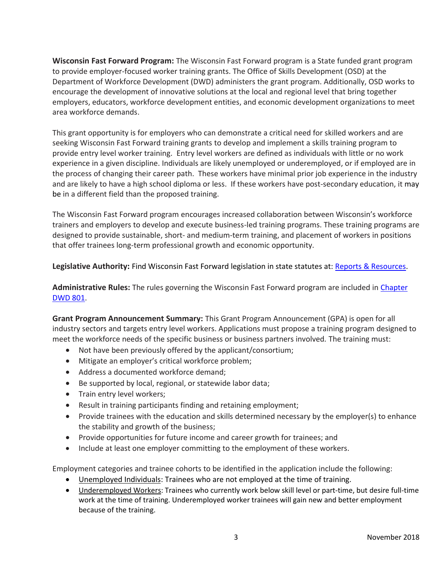**Wisconsin Fast Forward Program:** The Wisconsin Fast Forward program is a State funded grant program to provide employer-focused worker training grants. The Office of Skills Development (OSD) at the Department of Workforce Development (DWD) administers the grant program. Additionally, OSD works to encourage the development of innovative solutions at the local and regional level that bring together employers, educators, workforce development entities, and economic development organizations to meet area workforce demands.

This grant opportunity is for employers who can demonstrate a critical need for skilled workers and are seeking Wisconsin Fast Forward training grants to develop and implement a skills training program to provide entry level worker training. Entry level workers are defined as individuals with little or no work experience in a given discipline. Individuals are likely unemployed or underemployed, or if employed are in the process of changing their career path. These workers have minimal prior job experience in the industry and are likely to have a high school diploma or less. If these workers have post-secondary education, it may be in a different field than the proposed training.

The Wisconsin Fast Forward program encourages increased collaboration between Wisconsin's workforce trainers and employers to develop and execute business-led training programs. These training programs are designed to provide sustainable, short- and medium-term training, and placement of workers in positions that offer trainees long-term professional growth and economic opportunity.

**Legislative Authority:** Find Wisconsin Fast Forward legislation in state statutes at: [Reports & Resources.](http://www.wisconsinfastforward.com/reports.htm)

**Administrative Rules:** The rules governing the Wisconsin Fast Forward program are included in [Chapter](http://docs.legis.wisconsin.gov/code/admin_code/dwd/801/801)  [DWD 801.](http://docs.legis.wisconsin.gov/code/admin_code/dwd/801/801)

**Grant Program Announcement Summary:** This Grant Program Announcement (GPA) is open for all industry sectors and targets entry level workers. Applications must propose a training program designed to meet the workforce needs of the specific business or business partners involved*.* The training must:

- Not have been previously offered by the applicant/consortium;
- Mitigate an employer's critical workforce problem;
- Address a documented workforce demand;
- Be supported by local, regional, or statewide labor data;
- Train entry level workers;
- Result in training participants finding and retaining employment;
- Provide trainees with the education and skills determined necessary by the employer(s) to enhance the stability and growth of the business;
- Provide opportunities for future income and career growth for trainees; and
- Include at least one employer committing to the employment of these workers.

Employment categories and trainee cohorts to be identified in the application include the following:

- Unemployed Individuals: Trainees who are not employed at the time of training.
- Underemployed Workers: Trainees who currently work below skill level or part-time, but desire full-time work at the time of training. Underemployed worker trainees will gain new and better employment because of the training.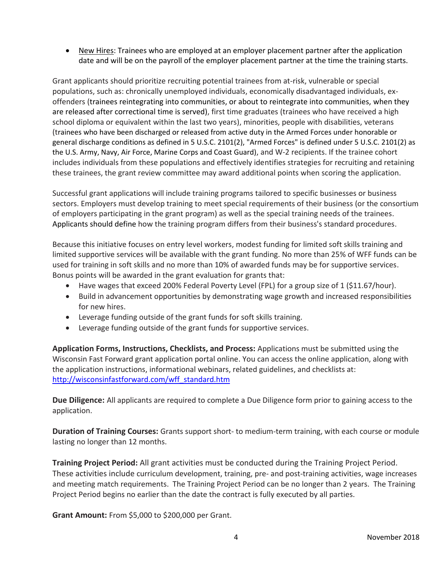• New Hires: Trainees who are employed at an employer placement partner after the application date and will be on the payroll of the employer placement partner at the time the training starts.

Grant applicants should prioritize recruiting potential trainees from at-risk, vulnerable or special populations, such as: chronically unemployed individuals, economically disadvantaged individuals, exoffenders (trainees reintegrating into communities, or about to reintegrate into communities, when they are released after correctional time is served), first time graduates (trainees who have received a high school diploma or equivalent within the last two years), minorities, people with disabilities, veterans (trainees who have been discharged or released from active duty in the Armed Forces under honorable or general discharge conditions as defined in 5 U.S.C. 2101(2), "Armed Forces" is defined under 5 U.S.C. 2101(2) as the U.S. Army, Navy, Air Force, Marine Corps and Coast Guard), and W-2 recipients. If the trainee cohort includes individuals from these populations and effectively identifies strategies for recruiting and retaining these trainees, the grant review committee may award additional points when scoring the application.

Successful grant applications will include training programs tailored to specific businesses or business sectors. Employers must develop training to meet special requirements of their business (or the consortium of employers participating in the grant program) as well as the special training needs of the trainees. Applicants should define how the training program differs from their business's standard procedures.

Because this initiative focuses on entry level workers, modest funding for limited soft skills training and limited supportive services will be available with the grant funding. No more than 25% of WFF funds can be used for training in soft skills and no more than 10% of awarded funds may be for supportive services. Bonus points will be awarded in the grant evaluation for grants that:

- Have wages that exceed 200% Federal Poverty Level (FPL) for a group size of 1 (\$11.67/hour).
- Build in advancement opportunities by demonstrating wage growth and increased responsibilities for new hires.
- Leverage funding outside of the grant funds for soft skills training.
- Leverage funding outside of the grant funds for supportive services.

**Application Forms, Instructions, Checklists, and Process:** Applications must be submitted using the Wisconsin Fast Forward grant application portal online. You can access the online application, along with the application instructions, informational webinars, related guidelines, and checklists at: [http://wisconsinfastforward.com/wff\\_standard.htm](http://wisconsinfastforward.com/wff_standard.htm)

**Due Diligence:** All applicants are required to complete a Due Diligence form prior to gaining access to the application.

**Duration of Training Courses:** Grants support short- to medium-term training, with each course or module lasting no longer than 12 months.

**Training Project Period:** All grant activities must be conducted during the Training Project Period. These activities include curriculum development, training, pre- and post-training activities, wage increases and meeting match requirements. The Training Project Period can be no longer than 2 years. The Training Project Period begins no earlier than the date the contract is fully executed by all parties.

**Grant Amount:** From \$5,000 to \$200,000 per Grant.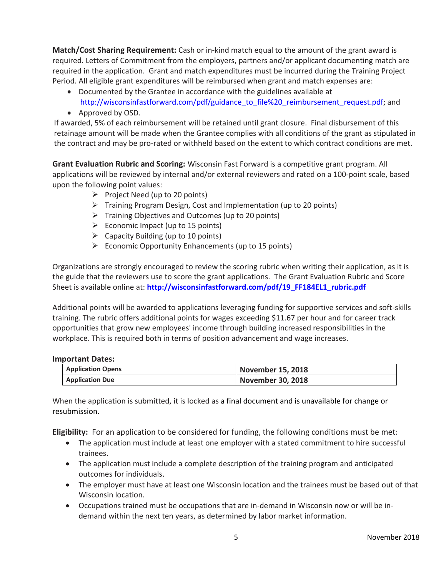**Match/Cost Sharing Requirement:** Cash or in-kind match equal to the amount of the grant award is required. Letters of Commitment from the employers, partners and/or applicant documenting match are required in the application. Grant and match expenditures must be incurred during the Training Project Period. All eligible grant expenditures will be reimbursed when grant and match expenses are:

- Documented by the Grantee in accordance with the guidelines available at [http://wisconsinfastforward.com/pdf/guidance\\_to\\_file%20\\_reimbursement\\_request.pdf;](http://wisconsinfastforward.com/pdf/guidance_to_file%20_reimbursement_request.pdf) and
- Approved by OSD.

If awarded, 5% of each reimbursement will be retained until grant closure. Final disbursement of this retainage amount will be made when the Grantee complies with all conditions of the grant as stipulated in the contract and may be pro-rated or withheld based on the extent to which contract conditions are met.

**Grant Evaluation Rubric and Scoring:** Wisconsin Fast Forward is a competitive grant program. All applications will be reviewed by internal and/or external reviewers and rated on a 100-point scale, based upon the following point values:

- $\triangleright$  Project Need (up to 20 points)
- ➢ Training Program Design, Cost and Implementation (up to 20 points)
- ➢ Training Objectives and Outcomes (up to 20 points)
- $\triangleright$  Economic Impact (up to 15 points)
- $\triangleright$  Capacity Building (up to 10 points)
- $\triangleright$  Economic Opportunity Enhancements (up to 15 points)

Organizations are strongly encouraged to review the scoring rubric when writing their application, as it is the guide that the reviewers use to score the grant applications. The Grant Evaluation Rubric and Score Sheet is available online at: [http://wisconsinfastforward.com/pdf/19\\_FF184EL1\\_rubric.pdf](http://wisconsinfastforward.com/pdf/19_FF184EL1_rubric.pdf)

Additional points will be awarded to applications leveraging funding for supportive services and soft-skills training. The rubric offers additional points for wages exceeding \$11.67 per hour and for career track opportunities that grow new employees' income through building increased responsibilities in the workplace. This is required both in terms of position advancement and wage increases.

#### **Important Dates:**

| <b>Application Opens</b> | <b>November 15, 2018</b> |
|--------------------------|--------------------------|
| <b>Application Due</b>   | <b>November 30, 2018</b> |

When the application is submitted, it is locked as a final document and is unavailable for change or resubmission.

**Eligibility:** For an application to be considered for funding, the following conditions must be met:

- The application must include at least one employer with a stated commitment to hire successful trainees.
- The application must include a complete description of the training program and anticipated outcomes for individuals.
- The employer must have at least one Wisconsin location and the trainees must be based out of that Wisconsin location.
- Occupations trained must be occupations that are in-demand in Wisconsin now or will be indemand within the next ten years, as determined by labor market information.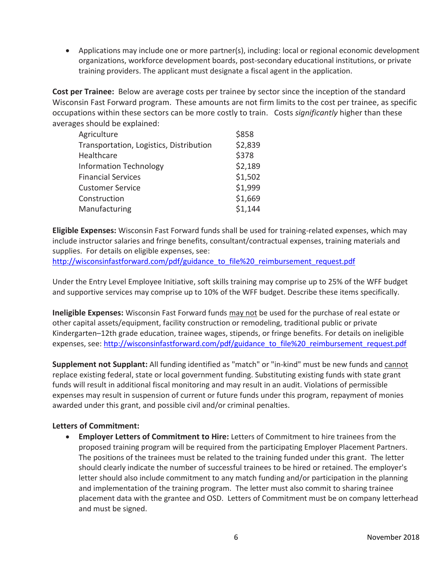• Applications may include one or more partner(s), including: local or regional economic development organizations, workforce development boards, post-secondary educational institutions, or private training providers. The applicant must designate a fiscal agent in the application.

**Cost per Trainee:** Below are average costs per trainee by sector since the inception of the standard Wisconsin Fast Forward program. These amounts are not firm limits to the cost per trainee, as specific occupations within these sectors can be more costly to train. Costs *significantly* higher than these averages should be explained:

| \$2,839 |
|---------|
| \$378   |
| \$2,189 |
| \$1,502 |
| \$1,999 |
| \$1,669 |
| \$1,144 |
|         |

**Eligible Expenses:** Wisconsin Fast Forward funds shall be used for training-related expenses, which may include instructor salaries and fringe benefits, consultant/contractual expenses, training materials and supplies. For details on eligible expenses, see:

[http://wisconsinfastforward.com/pdf/guidance\\_to\\_file%20\\_reimbursement\\_request.pdf](http://wisconsinfastforward.com/pdf/guidance_to_file%20_reimbursement_request.pdf)

Under the Entry Level Employee Initiative, soft skills training may comprise up to 25% of the WFF budget and supportive services may comprise up to 10% of the WFF budget. Describe these items specifically.

**Ineligible Expenses:** Wisconsin Fast Forward funds may not be used for the purchase of real estate or other capital assets/equipment, facility construction or remodeling, traditional public or private Kindergarten–12th grade education, trainee wages, stipends, or fringe benefits. For details on ineligible expenses, see: [http://wisconsinfastforward.com/pdf/guidance\\_to\\_file%20\\_reimbursement\\_request.pdf](http://wisconsinfastforward.com/pdf/guidance_to_file%20_reimbursement_request.pdf)

**Supplement not Supplant:** All funding identified as "match" or "in-kind" must be new funds and cannot replace existing federal, state or local government funding. Substituting existing funds with state grant funds will result in additional fiscal monitoring and may result in an audit. Violations of permissible expenses may result in suspension of current or future funds under this program, repayment of monies awarded under this grant, and possible civil and/or criminal penalties.

### **Letters of Commitment:**

• **Employer Letters of Commitment to Hire:** Letters of Commitment to hire trainees from the proposed training program will be required from the participating Employer Placement Partners. The positions of the trainees must be related to the training funded under this grant. The letter should clearly indicate the number of successful trainees to be hired or retained. The employer's letter should also include commitment to any match funding and/or participation in the planning and implementation of the training program. The letter must also commit to sharing trainee placement data with the grantee and OSD. Letters of Commitment must be on company letterhead and must be signed.